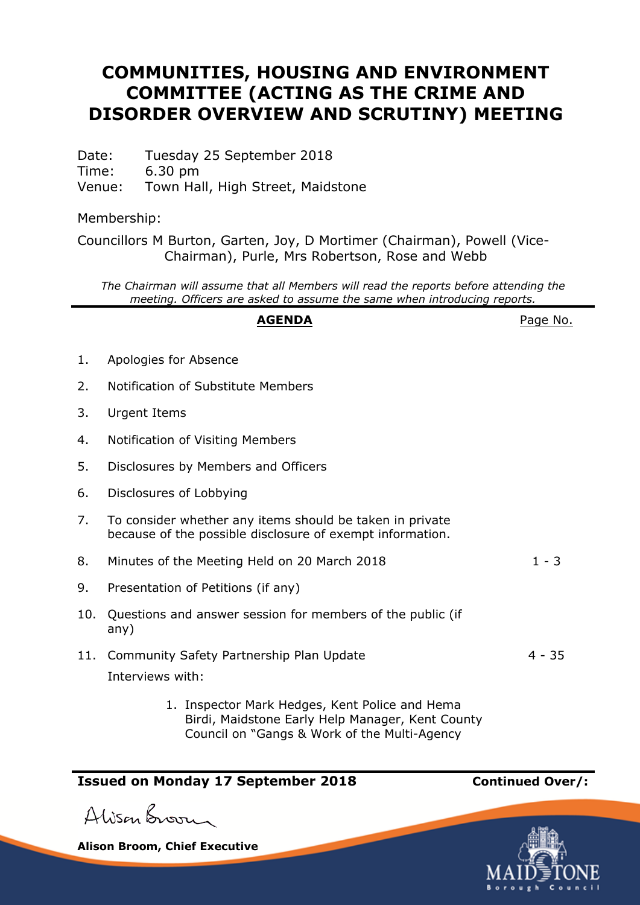## **COMMUNITIES, HOUSING AND ENVIRONMENT COMMITTEE (ACTING AS THE CRIME AND DISORDER OVERVIEW AND SCRUTINY) MEETING**

Date: Tuesday 25 September 2018 Time: 6.30 pm Venue: Town Hall, High Street, Maidstone

Membership:

Councillors M Burton, Garten, Joy, D Mortimer (Chairman), Powell (Vice-Chairman), Purle, Mrs Robertson, Rose and Webb

*The Chairman will assume that all Members will read the reports before attending the meeting. Officers are asked to assume the same when introducing reports.*

## **AGENDA** Page No.

| 1. | Apologies for Absence |
|----|-----------------------|
|----|-----------------------|

- 2. Notification of Substitute Members
- 3. Urgent Items
- 4. Notification of Visiting Members
- 5. Disclosures by Members and Officers
- 6. Disclosures of Lobbying
- 7. To consider whether any items should be taken in private because of the possible disclosure of exempt information.
- 8. Minutes of the Meeting Held on 20 March 2018 1 3
- 9. Presentation of Petitions (if any)
- 10. Questions and answer session for members of the public (if any)
- 11. Community Safety Partnership Plan Update 4 35 Interviews with:
	- 1. Inspector Mark Hedges, Kent Police and Hema Birdi, Maidstone Early Help Manager, Kent County Council on "Gangs & Work of the Multi-Agency

## **Issued on Monday 17 September 2018 Continued Over/:**

Alison Broom

**Alison Broom, Chief Executive**